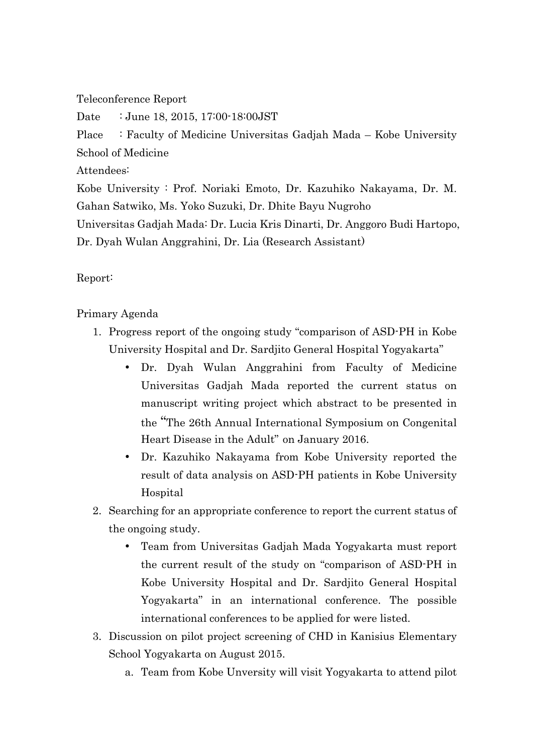Teleconference Report

Date : June 18, 2015, 17:00-18:00 JST

Place : Faculty of Medicine Universitas Gadjah Mada – Kobe University School of Medicine

Attendees:

Kobe University : Prof. Noriaki Emoto, Dr. Kazuhiko Nakayama, Dr. M. Gahan Satwiko, Ms. Yoko Suzuki, Dr. Dhite Bayu Nugroho

Universitas Gadjah Mada: Dr. Lucia Kris Dinarti, Dr. Anggoro Budi Hartopo,

Dr. Dyah Wulan Anggrahini, Dr. Lia (Research Assistant)

## Report:

Primary Agenda

- 1. Progress report of the ongoing study "comparison of ASD-PH in Kobe University Hospital and Dr. Sardjito General Hospital Yogyakarta"
	- Dr. Dyah Wulan Anggrahini from Faculty of Medicine Universitas Gadjah Mada reported the current status on manuscript writing project which abstract to be presented in the "The 26th Annual International Symposium on Congenital Heart Disease in the Adult" on January 2016.
	- Dr. Kazuhiko Nakayama from Kobe University reported the result of data analysis on ASD-PH patients in Kobe University Hospital
- 2. Searching for an appropriate conference to report the current status of the ongoing study.
	- Team from Universitas Gadjah Mada Yogyakarta must report the current result of the study on "comparison of ASD-PH in Kobe University Hospital and Dr. Sardjito General Hospital Yogyakarta" in an international conference. The possible international conferences to be applied for were listed.
- 3. Discussion on pilot project screening of CHD in Kanisius Elementary School Yogyakarta on August 2015.
	- a. Team from Kobe Unversity will visit Yogyakarta to attend pilot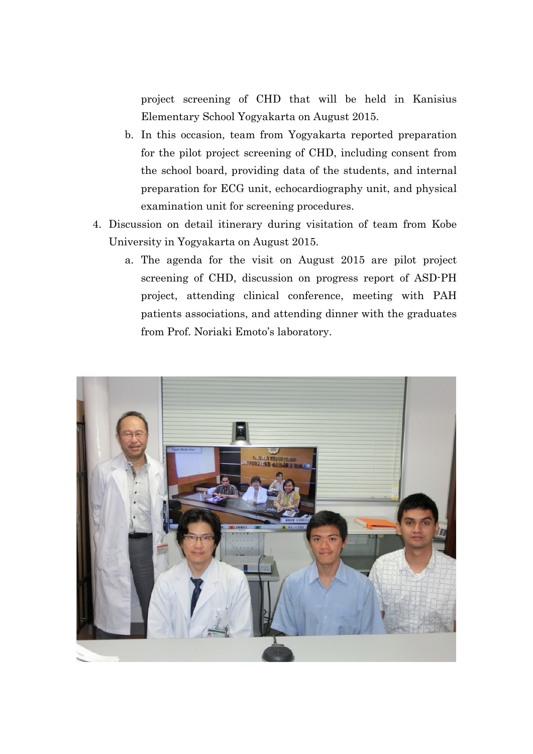project screening of CHD that will be held in Kanisius Elementary School Yogyakarta on August 2015.

- b. In this occasion, team from Yogyakarta reported preparation for the pilot project screening of CHD, including consent from the school board, providing data of the students, and internal preparation for ECG unit, echocardiography unit, and physical examination unit for screening procedures.
- 4. Discussion on detail itinerary during visitation of team from Kobe University in Yogyakarta on August 2015.
	- a. The agenda for the visit on August 2015 are pilot project screening of CHD, discussion on progress report of ASD-PH project, attending clinical conference, meeting with PAH patients associations, and attending dinner with the graduates from Prof. Noriaki Emoto's laboratory.